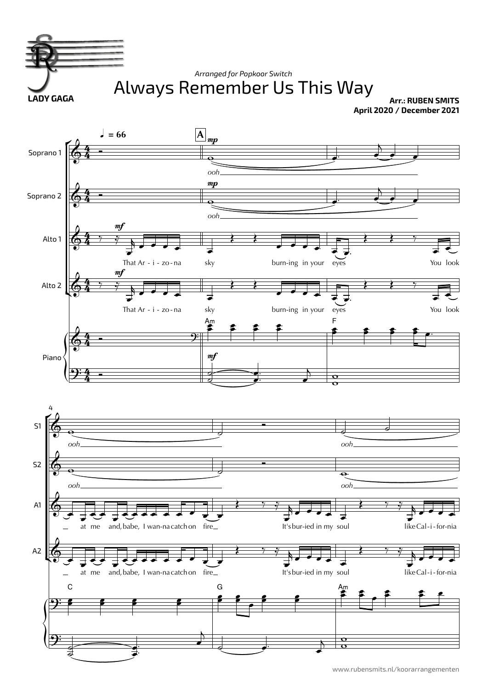

www.rubensmits.nl/koorarrangementen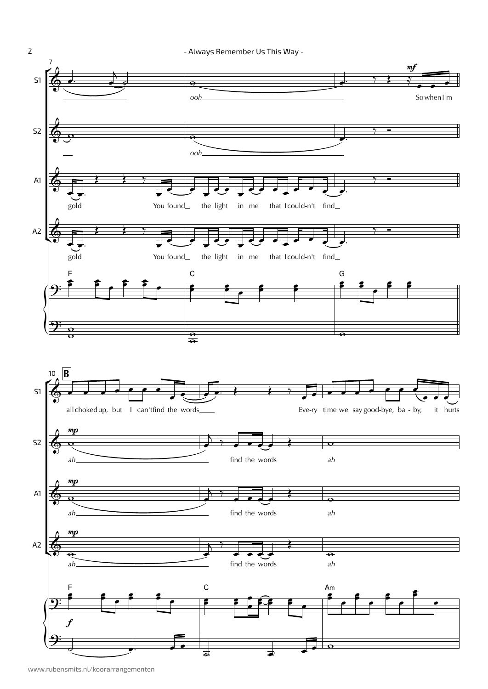